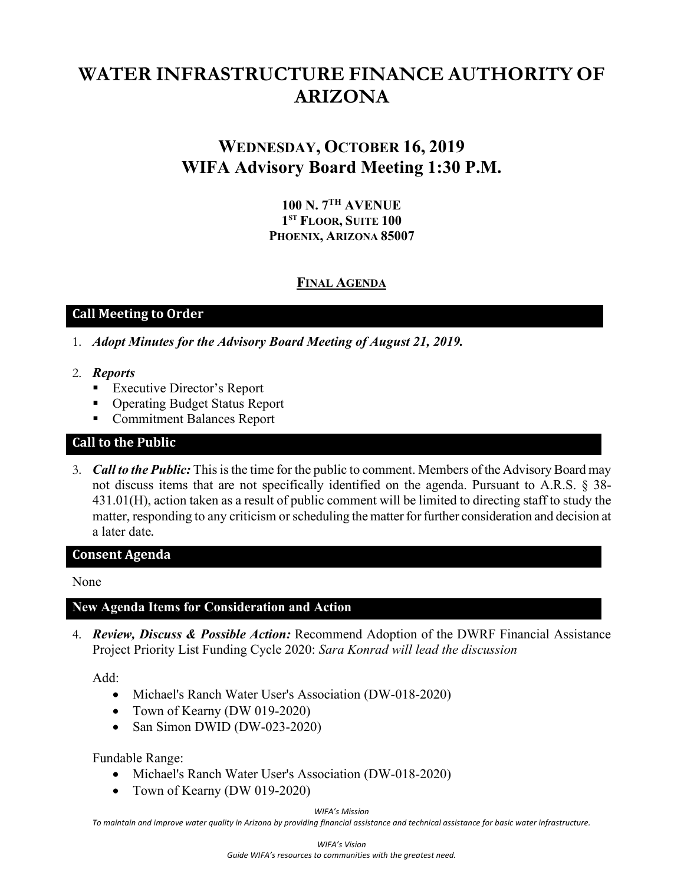# **WATER INFRASTRUCTURE FINANCE AUTHORITY OF ARIZONA**

## **WEDNESDAY, OCTOBER 16, 2019 WIFA Advisory Board Meeting 1:30 P.M.**

**100 N. 7TH AVENUE 1ST FLOOR, SUITE 100 PHOENIX, ARIZONA 85007**

#### **FINAL AGENDA**

#### **Call Meeting to Order**

- 1. *Adopt Minutes for the Advisory Board Meeting of August 21, 2019.*
- 2. *Reports*
	- **Executive Director's Report**
	- Operating Budget Status Report
	- **Commitment Balances Report**

#### **Call to the Public**

3. *Call to the Public:* This is the time for the public to comment. Members of the Advisory Board may not discuss items that are not specifically identified on the agenda. Pursuant to A.R.S. § 38- 431.01(H), action taken as a result of public comment will be limited to directing staff to study the matter, responding to any criticism or scheduling the matter for further consideration and decision at a later date.

#### **Consent Agenda**

None

#### **New Agenda Items for Consideration and Action**

4. *Review, Discuss & Possible Action:* Recommend Adoption of the DWRF Financial Assistance Project Priority List Funding Cycle 2020: *Sara Konrad will lead the discussion*

Add:

- Michael's Ranch Water User's Association (DW-018-2020)
- Town of Kearny (DW 019-2020)
- San Simon DWID (DW-023-2020)

Fundable Range:

- Michael's Ranch Water User's Association (DW-018-2020)
- Town of Kearny (DW 019-2020)

*WIFA's Mission*

*To maintain and improve water quality in Arizona by providing financial assistance and technical assistance for basic water infrastructure.*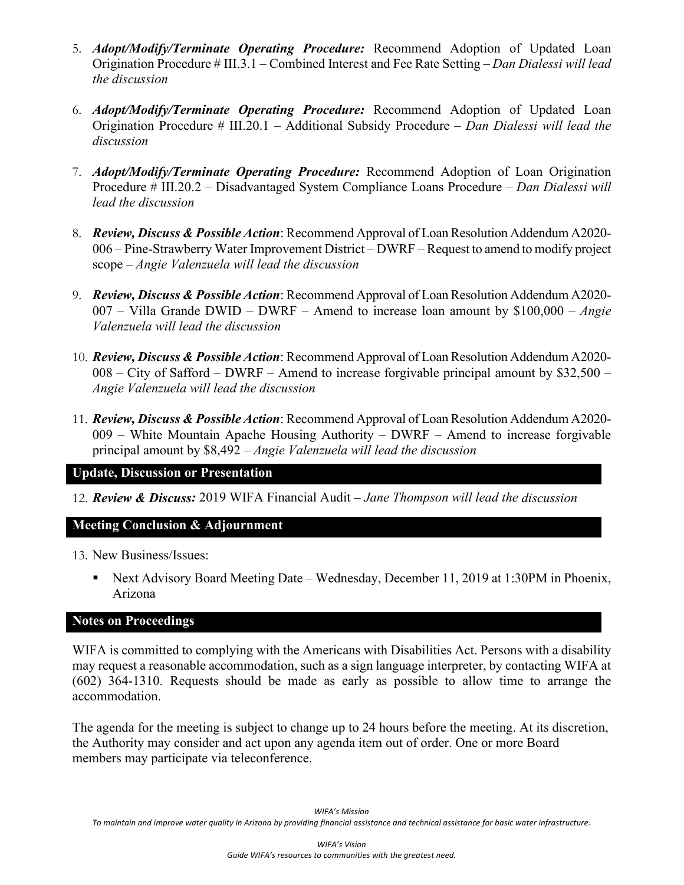- 5. *Adopt/Modify/Terminate Operating Procedure:* Recommend Adoption of Updated Loan Origination Procedure # III.3.1 – Combined Interest and Fee Rate Setting *– Dan Dialessi will lead the discussion*
- 6. *Adopt/Modify/Terminate Operating Procedure:* Recommend Adoption of Updated Loan Origination Procedure # III.20.1 – Additional Subsidy Procedure *– Dan Dialessi will lead the discussion*
- 7. *Adopt/Modify/Terminate Operating Procedure:* Recommend Adoption of Loan Origination Procedure # III.20.2 – Disadvantaged System Compliance Loans Procedure *– Dan Dialessi will lead the discussion*
- 8. *Review, Discuss & Possible Action*: Recommend Approval of Loan Resolution Addendum A2020- 006 – Pine-Strawberry Water Improvement District – DWRF – Request to amend to modify project scope – *Angie Valenzuela will lead the discussion*
- 9. *Review, Discuss & Possible Action*: Recommend Approval of Loan Resolution Addendum A2020- 007 – Villa Grande DWID – DWRF – Amend to increase loan amount by \$100,000 – *Angie Valenzuela will lead the discussion*
- 10. *Review, Discuss & Possible Action*: Recommend Approval of Loan Resolution Addendum A2020- 008 – City of Safford – DWRF – Amend to increase forgivable principal amount by \$32,500 – *Angie Valenzuela will lead the discussion*
- 11. *Review, Discuss & Possible Action*: Recommend Approval of Loan Resolution Addendum A2020- 009 – White Mountain Apache Housing Authority – DWRF – Amend to increase forgivable principal amount by \$8,492 – *Angie Valenzuela will lead the discussion*

#### **Update, Discussion or Presentation**

12. *Review & Discuss:* 2019 WIFA Financial Audit *– Jane Thompson will lead the discussion*

## **Meeting Conclusion & Adjournment**

13. New Business/Issues:

 Next Advisory Board Meeting Date – Wednesday, December 11, 2019 at 1:30PM in Phoenix, Arizona

#### **Notes on Proceedings**

WIFA is committed to complying with the Americans with Disabilities Act. Persons with a disability may request a reasonable accommodation, such as a sign language interpreter, by contacting WIFA at (602) 364-1310. Requests should be made as early as possible to allow time to arrange the accommodation.

The agenda for the meeting is subject to change up to 24 hours before the meeting. At its discretion, the Authority may consider and act upon any agenda item out of order. One or more Board members may participate via teleconference.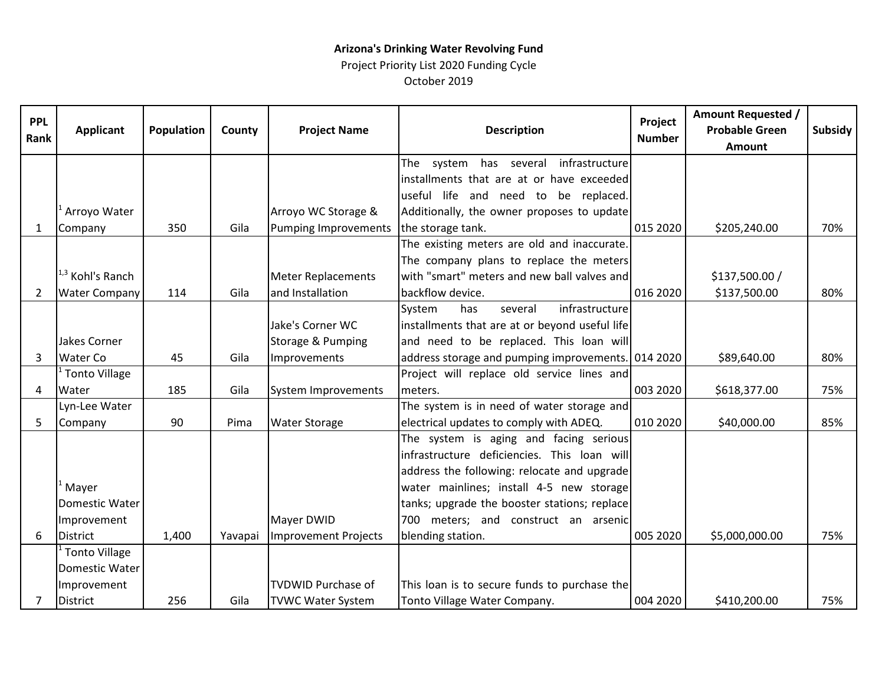### **Arizona's Drinking Water Revolving Fund** Project Priority List 2020 Funding Cycle

October 2019

| <b>PPL</b><br>Rank | <b>Applicant</b>            | Population | County  | <b>Project Name</b>         | <b>Description</b>                                 | Project<br><b>Number</b> | <b>Amount Requested /</b><br><b>Probable Green</b><br>Amount | <b>Subsidy</b> |
|--------------------|-----------------------------|------------|---------|-----------------------------|----------------------------------------------------|--------------------------|--------------------------------------------------------------|----------------|
|                    |                             |            |         |                             | has several<br>infrastructure<br>system<br>The     |                          |                                                              |                |
|                    |                             |            |         |                             | installments that are at or have exceeded          |                          |                                                              |                |
|                    |                             |            |         |                             | useful life and need to be replaced.               |                          |                                                              |                |
|                    | Arroyo Water                |            |         | Arroyo WC Storage &         | Additionally, the owner proposes to update         |                          |                                                              |                |
| 1                  | Company                     | 350        | Gila    | <b>Pumping Improvements</b> | the storage tank.                                  | 015 2020                 | \$205,240.00                                                 | 70%            |
|                    |                             |            |         |                             | The existing meters are old and inaccurate.        |                          |                                                              |                |
|                    |                             |            |         |                             | The company plans to replace the meters            |                          |                                                              |                |
|                    | <sup>1,3</sup> Kohl's Ranch |            |         | <b>Meter Replacements</b>   | with "smart" meters and new ball valves and        |                          | \$137,500.00 /                                               |                |
| 2                  | <b>Water Company</b>        | 114        | Gila    | and Installation            | backflow device.                                   | 016 2020                 | \$137,500.00                                                 | 80%            |
|                    |                             |            |         |                             | infrastructure<br>System<br>has<br>several         |                          |                                                              |                |
|                    |                             |            |         | Jake's Corner WC            | installments that are at or beyond useful life     |                          |                                                              |                |
|                    | Jakes Corner                |            |         | Storage & Pumping           | and need to be replaced. This loan will            |                          |                                                              |                |
| 3                  | <b>Water Co</b>             | 45         | Gila    | Improvements                | address storage and pumping improvements. 014 2020 |                          | \$89,640.00                                                  | 80%            |
|                    | <b>Tonto Village</b>        |            |         |                             | Project will replace old service lines and         |                          |                                                              |                |
| 4                  | Water                       | 185        | Gila    | System Improvements         | meters.                                            | 003 2020                 | \$618,377.00                                                 | 75%            |
|                    | Lyn-Lee Water               |            |         |                             | The system is in need of water storage and         |                          |                                                              |                |
| 5                  | Company                     | 90         | Pima    | <b>Water Storage</b>        | electrical updates to comply with ADEQ.            | 010 2020                 | \$40,000.00                                                  | 85%            |
|                    |                             |            |         |                             | The system is aging and facing serious             |                          |                                                              |                |
|                    |                             |            |         |                             | infrastructure deficiencies. This loan will        |                          |                                                              |                |
|                    |                             |            |         |                             | address the following: relocate and upgrade        |                          |                                                              |                |
|                    | Mayer                       |            |         |                             | water mainlines; install 4-5 new storage           |                          |                                                              |                |
|                    | Domestic Water              |            |         |                             | tanks; upgrade the booster stations; replace       |                          |                                                              |                |
|                    | Improvement                 |            |         | Mayer DWID                  | 700 meters; and construct an arsenic               |                          |                                                              |                |
| 6                  | <b>District</b>             | 1,400      | Yavapai | Improvement Projects        | blending station.                                  | 005 2020                 | \$5,000,000.00                                               | 75%            |
|                    | <b>Tonto Village</b>        |            |         |                             |                                                    |                          |                                                              |                |
|                    | Domestic Water              |            |         |                             |                                                    |                          |                                                              |                |
|                    | Improvement                 |            |         | <b>TVDWID Purchase of</b>   | This loan is to secure funds to purchase the       |                          |                                                              |                |
| $\overline{7}$     | <b>District</b>             | 256        | Gila    | <b>TVWC Water System</b>    | Tonto Village Water Company.                       | 004 2020                 | \$410,200.00                                                 | 75%            |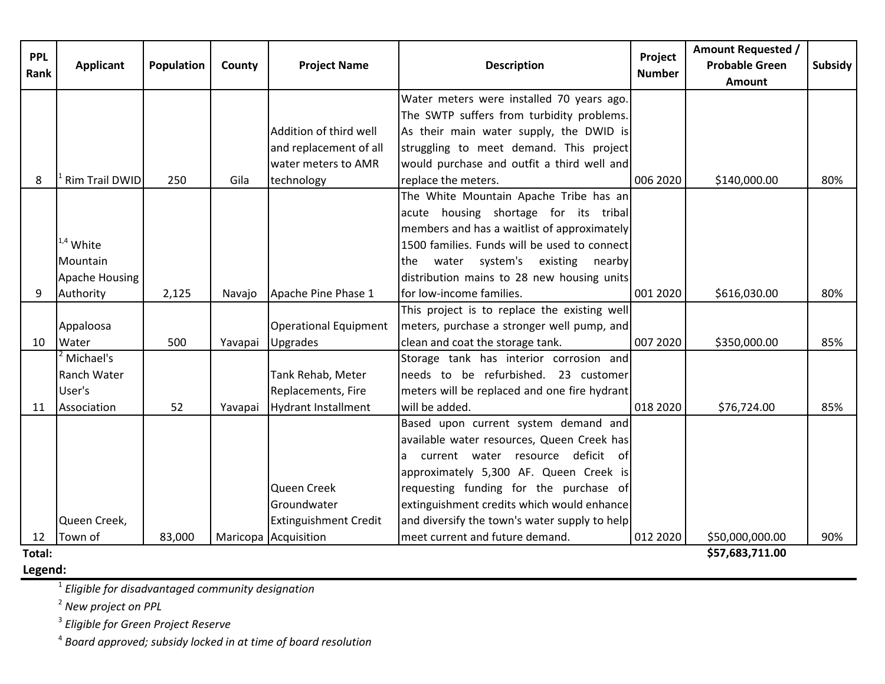| <b>PPL</b><br>Rank | <b>Applicant</b>      | Population | County  | <b>Project Name</b>          | <b>Description</b>                            | Project<br><b>Number</b> | <b>Amount Requested /</b><br><b>Probable Green</b><br><b>Amount</b> | <b>Subsidy</b> |
|--------------------|-----------------------|------------|---------|------------------------------|-----------------------------------------------|--------------------------|---------------------------------------------------------------------|----------------|
|                    |                       |            |         |                              |                                               |                          |                                                                     |                |
|                    |                       |            |         |                              | Water meters were installed 70 years ago.     |                          |                                                                     |                |
|                    |                       |            |         |                              | The SWTP suffers from turbidity problems.     |                          |                                                                     |                |
|                    |                       |            |         | Addition of third well       | As their main water supply, the DWID is       |                          |                                                                     |                |
|                    |                       |            |         | and replacement of all       | struggling to meet demand. This project       |                          |                                                                     |                |
|                    |                       |            |         | water meters to AMR          | would purchase and outfit a third well and    |                          |                                                                     |                |
| 8                  | <b>Rim Trail DWID</b> | 250        | Gila    | technology                   | replace the meters.                           | 006 2020                 | \$140,000.00                                                        | 80%            |
|                    |                       |            |         |                              | The White Mountain Apache Tribe has an        |                          |                                                                     |                |
|                    |                       |            |         |                              | acute housing shortage for its tribal         |                          |                                                                     |                |
|                    |                       |            |         |                              | members and has a waitlist of approximately   |                          |                                                                     |                |
|                    | $1.4$ White           |            |         |                              | 1500 families. Funds will be used to connect  |                          |                                                                     |                |
|                    | Mountain              |            |         |                              | water system's existing nearby<br>the         |                          |                                                                     |                |
|                    | Apache Housing        |            |         |                              | distribution mains to 28 new housing units    |                          |                                                                     |                |
| 9                  | Authority             | 2,125      | Navajo  | Apache Pine Phase 1          | for low-income families.                      | 001 2020                 | \$616,030.00                                                        | 80%            |
|                    |                       |            |         |                              | This project is to replace the existing well  |                          |                                                                     |                |
|                    | Appaloosa             |            |         | <b>Operational Equipment</b> | meters, purchase a stronger well pump, and    |                          |                                                                     |                |
| 10                 | Water                 | 500        | Yavapai | Upgrades                     | clean and coat the storage tank.              | 007 2020                 | \$350,000.00                                                        | 85%            |
|                    | Michael's             |            |         |                              | Storage tank has interior corrosion and       |                          |                                                                     |                |
|                    | Ranch Water           |            |         | Tank Rehab, Meter            | needs to be refurbished. 23 customer          |                          |                                                                     |                |
|                    | User's                |            |         | Replacements, Fire           | meters will be replaced and one fire hydrant  |                          |                                                                     |                |
| 11                 | Association           | 52         | Yavapai | <b>Hydrant Installment</b>   | will be added.                                | 018 2020                 | \$76,724.00                                                         | 85%            |
|                    |                       |            |         |                              | Based upon current system demand and          |                          |                                                                     |                |
|                    |                       |            |         |                              | available water resources, Queen Creek has    |                          |                                                                     |                |
|                    |                       |            |         |                              | current water resource deficit of             |                          |                                                                     |                |
|                    |                       |            |         |                              | approximately 5,300 AF. Queen Creek is        |                          |                                                                     |                |
|                    |                       |            |         | Queen Creek                  | requesting funding for the purchase of        |                          |                                                                     |                |
|                    |                       |            |         | Groundwater                  | extinguishment credits which would enhance    |                          |                                                                     |                |
|                    | Queen Creek,          |            |         | <b>Extinguishment Credit</b> | and diversify the town's water supply to help |                          |                                                                     |                |
| 12                 | Town of               | 83,000     |         | Maricopa Acquisition         | meet current and future demand.               | 012 2020                 | \$50,000,000.00                                                     | 90%            |
| Total:             | \$57,683,711.00       |            |         |                              |                                               |                          |                                                                     |                |

**Legend:**

**\$57,683,711.00** 

<sup>1</sup> *Eligible for disadvantaged community designation*

<sup>2</sup> *New project on PPL*

<sup>3</sup> *Eligible for Green Project Reserve*

<sup>4</sup> *Board approved; subsidy locked in at time of board resolution*